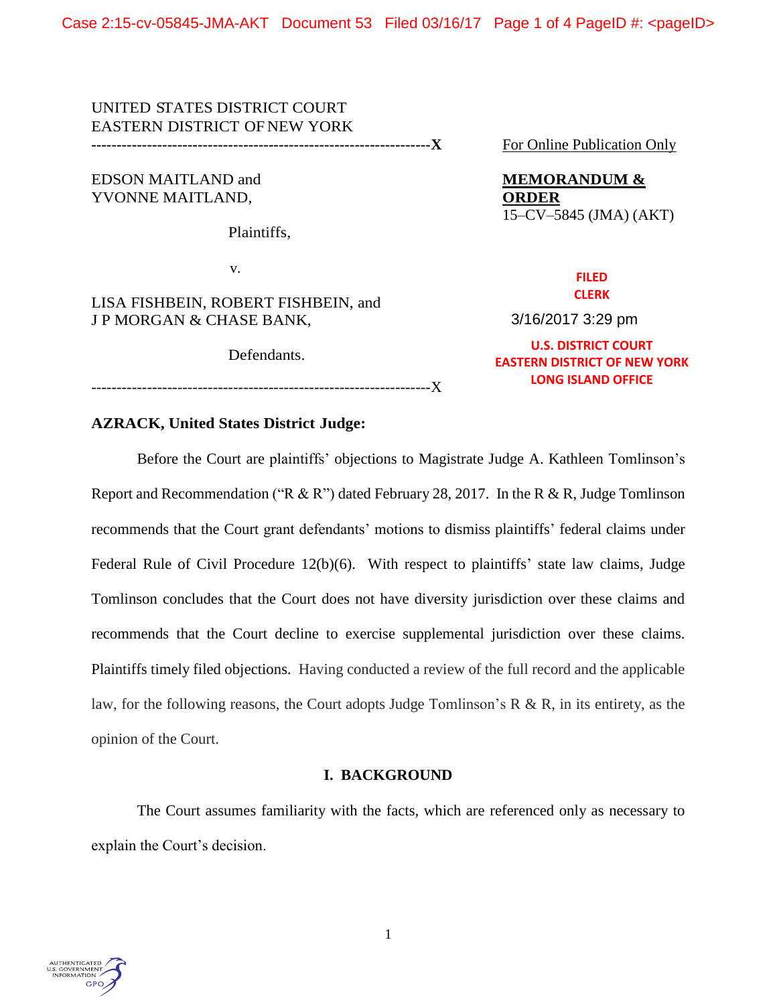Case 2:15-cv-05845-JMA-AKT Document 53 Filed 03/16/17 Page 1 of 4 PageID #: <pageID>

# UNITED STATES DISTRICT COURT EASTERN DISTRICT OF NEW YORK

**-------------------------------------------------------------------X** For Online Publication Only

EDSON MAITLAND and **MEMORANDUM &** YVONNE MAITLAND, **ORDER**

Plaintiffs,

v.

LISA FISHBEIN, ROBERT FISHBEIN, and J P MORGAN & CHASE BANK,

Defendants.

15–CV–5845 (JMA) (AKT)

#### **FILED CLERK**

3/16/2017 3:29 pm

**U.S. DISTRICT COURT EASTERN DISTRICT OF NEW YORK LONG ISLAND OFFICE**

-------------------------------------------------------------------X

# **AZRACK, United States District Judge:**

Before the Court are plaintiffs' objections to Magistrate Judge A. Kathleen Tomlinson's Report and Recommendation ("R & R") dated February 28, 2017. In the R & R, Judge Tomlinson recommends that the Court grant defendants' motions to dismiss plaintiffs' federal claims under Federal Rule of Civil Procedure 12(b)(6). With respect to plaintiffs' state law claims, Judge Tomlinson concludes that the Court does not have diversity jurisdiction over these claims and recommends that the Court decline to exercise supplemental jurisdiction over these claims. Plaintiffs timely filed objections. Having conducted a review of the full record and the applicable law, for the following reasons, the Court adopts Judge Tomlinson's R & R, in its entirety, as the opinion of the Court.

# **I. BACKGROUND**

The Court assumes familiarity with the facts, which are referenced only as necessary to explain the Court's decision.

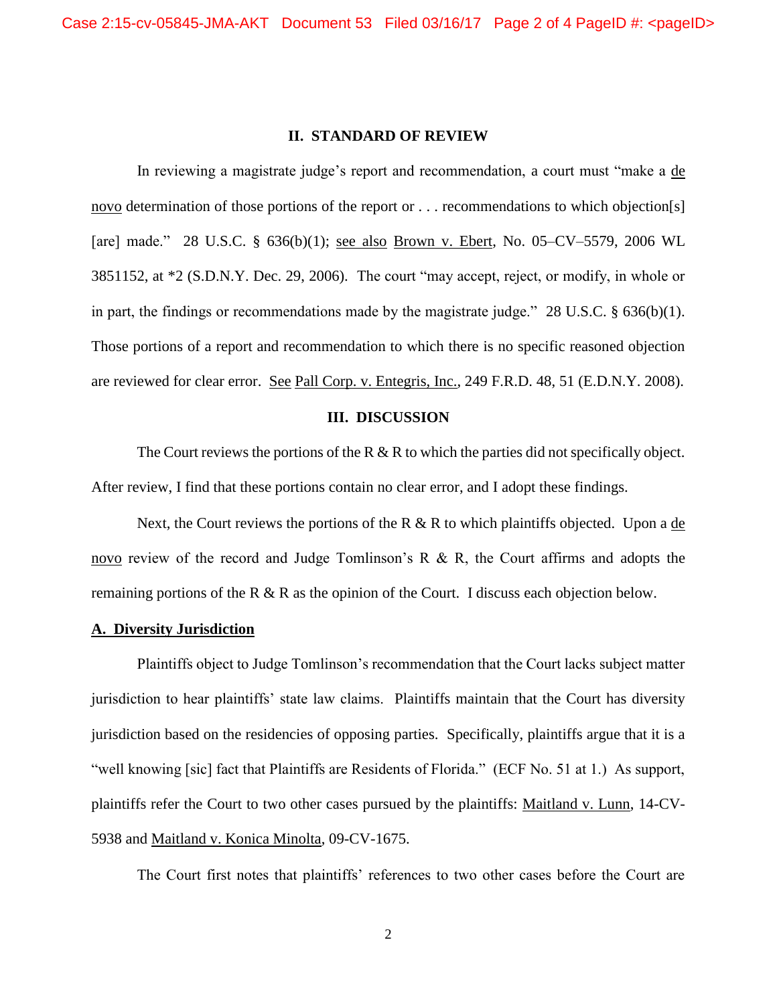#### **II. STANDARD OF REVIEW**

In reviewing a magistrate judge's report and recommendation, a court must "make a de novo determination of those portions of the report or . . . recommendations to which objection[s] [are] made." 28 U.S.C. § 636(b)(1); see also Brown v. Ebert, No. 05–CV–5579, 2006 WL 3851152, at \*2 (S.D.N.Y. Dec. 29, 2006). The court "may accept, reject, or modify, in whole or in part, the findings or recommendations made by the magistrate judge." 28 U.S.C. § 636(b)(1). Those portions of a report and recommendation to which there is no specific reasoned objection are reviewed for clear error. See Pall Corp. v. Entegris, Inc., 249 F.R.D. 48, 51 (E.D.N.Y. 2008).

#### **III. DISCUSSION**

The Court reviews the portions of the R  $\&$  R to which the parties did not specifically object. After review, I find that these portions contain no clear error, and I adopt these findings.

Next, the Court reviews the portions of the R  $&$  R to which plaintiffs objected. Upon a de novo review of the record and Judge Tomlinson's R & R, the Court affirms and adopts the remaining portions of the R & R as the opinion of the Court. I discuss each objection below.

# **A. Diversity Jurisdiction**

Plaintiffs object to Judge Tomlinson's recommendation that the Court lacks subject matter jurisdiction to hear plaintiffs' state law claims. Plaintiffs maintain that the Court has diversity jurisdiction based on the residencies of opposing parties. Specifically, plaintiffs argue that it is a "well knowing [sic] fact that Plaintiffs are Residents of Florida." (ECF No. 51 at 1.) As support, plaintiffs refer the Court to two other cases pursued by the plaintiffs: Maitland v. Lunn, 14-CV-5938 and Maitland v. Konica Minolta, 09-CV-1675.

The Court first notes that plaintiffs' references to two other cases before the Court are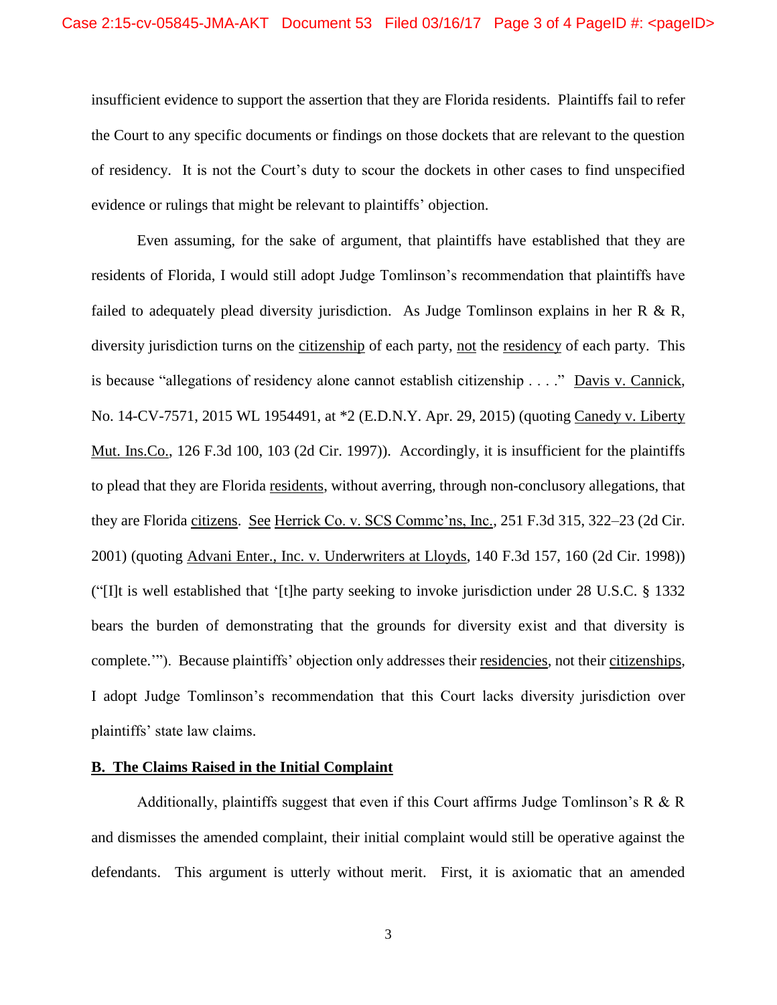insufficient evidence to support the assertion that they are Florida residents. Plaintiffs fail to refer the Court to any specific documents or findings on those dockets that are relevant to the question of residency. It is not the Court's duty to scour the dockets in other cases to find unspecified evidence or rulings that might be relevant to plaintiffs' objection.

Even assuming, for the sake of argument, that plaintiffs have established that they are residents of Florida, I would still adopt Judge Tomlinson's recommendation that plaintiffs have failed to adequately plead diversity jurisdiction. As Judge Tomlinson explains in her R  $\&$  R, diversity jurisdiction turns on the citizenship of each party, not the residency of each party. This is because "allegations of residency alone cannot establish citizenship . . . ." Davis v. Cannick, No. 14-CV-7571, 2015 WL 1954491, at \*2 (E.D.N.Y. Apr. 29, 2015) (quoting Canedy v. Liberty Mut. Ins.Co., 126 F.3d 100, 103 (2d Cir. 1997)). Accordingly, it is insufficient for the plaintiffs to plead that they are Florida residents, without averring, through non-conclusory allegations, that they are Florida citizens. See Herrick Co. v. SCS Commc'ns, Inc., 251 F.3d 315, 322–23 (2d Cir. 2001) (quoting Advani Enter., Inc. v. Underwriters at Lloyds, 140 F.3d 157, 160 (2d Cir. 1998)) ("[I]t is well established that '[t]he party seeking to invoke jurisdiction under 28 U.S.C. § 1332 bears the burden of demonstrating that the grounds for diversity exist and that diversity is complete.'"). Because plaintiffs' objection only addresses their residencies, not their citizenships, I adopt Judge Tomlinson's recommendation that this Court lacks diversity jurisdiction over plaintiffs' state law claims.

### **B. The Claims Raised in the Initial Complaint**

Additionally, plaintiffs suggest that even if this Court affirms Judge Tomlinson's  $R \& R$ and dismisses the amended complaint, their initial complaint would still be operative against the defendants. This argument is utterly without merit. First, it is axiomatic that an amended